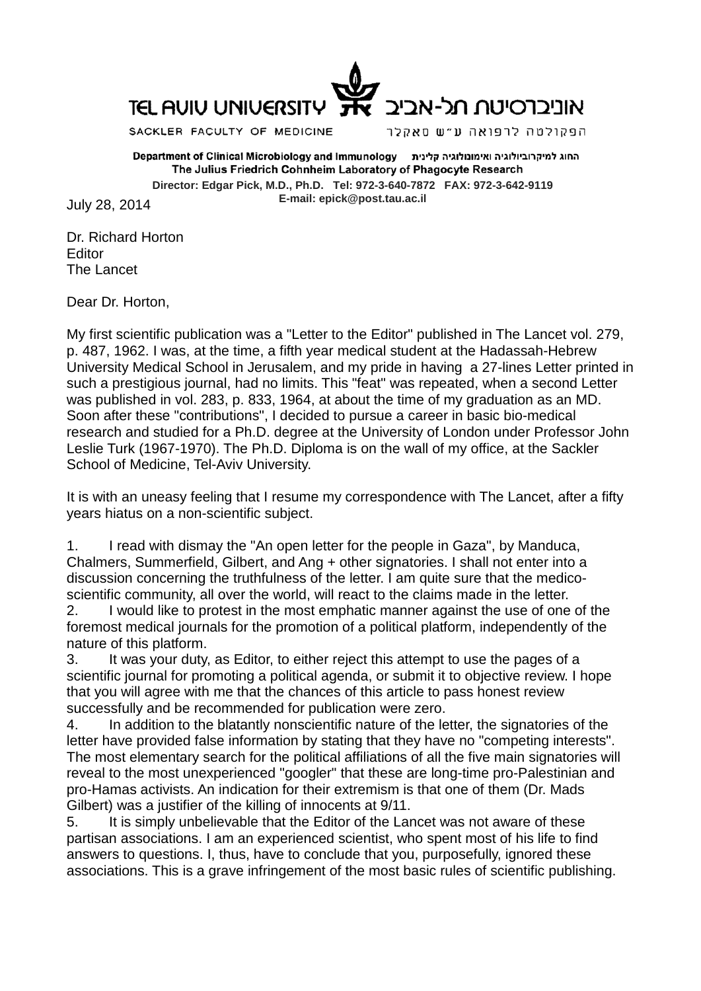

SACKLER FACULTY OF MEDICINE

הפקולטה לרפואה ע״ש סאקלר

החוג למיקרוביולוגיה ואימונולוגיה קלינית Department of Clinical Microbiology and Immunology The Julius Friedrich Cohnheim Laboratory of Phagocyte Research **Director: Edgar Pick, M.D., Ph.D. Tel: 972-3-640-7872 FAX: 972-3-642-9119 E-mail: epick@post.tau.ac.il** July 28, 2014

Dr. Richard Horton Editor The Lancet

Dear Dr. Horton,

My first scientific publication was a "Letter to the Editor" published in The Lancet vol. 279, p. 487, 1962. I was, at the time, a fifth year medical student at the Hadassah-Hebrew University Medical School in Jerusalem, and my pride in having a 27-lines Letter printed in such a prestigious journal, had no limits. This "feat" was repeated, when a second Letter was published in vol. 283, p. 833, 1964, at about the time of my graduation as an MD. Soon after these "contributions", I decided to pursue a career in basic bio-medical research and studied for a Ph.D. degree at the University of London under Professor John Leslie Turk (1967-1970). The Ph.D. Diploma is on the wall of my office, at the Sackler School of Medicine, Tel-Aviv University.

It is with an uneasy feeling that I resume my correspondence with The Lancet, after a fifty years hiatus on a non-scientific subject.

1. I read with dismay the "An open letter for the people in Gaza", by Manduca, Chalmers, Summerfield, Gilbert, and Ang + other signatories. I shall not enter into a discussion concerning the truthfulness of the letter. I am quite sure that the medicoscientific community, all over the world, will react to the claims made in the letter.

2. I would like to protest in the most emphatic manner against the use of one of the foremost medical journals for the promotion of a political platform, independently of the nature of this platform.

3. It was your duty, as Editor, to either reject this attempt to use the pages of a scientific journal for promoting a political agenda, or submit it to objective review. I hope that you will agree with me that the chances of this article to pass honest review successfully and be recommended for publication were zero.

4. In addition to the blatantly nonscientific nature of the letter, the signatories of the letter have provided false information by stating that they have no "competing interests". The most elementary search for the political affiliations of all the five main signatories will reveal to the most unexperienced "googler" that these are long-time pro-Palestinian and pro-Hamas activists. An indication for their extremism is that one of them (Dr. Mads Gilbert) was a justifier of the killing of innocents at 9/11.

5. It is simply unbelievable that the Editor of the Lancet was not aware of these partisan associations. I am an experienced scientist, who spent most of his life to find answers to questions. I, thus, have to conclude that you, purposefully, ignored these associations. This is a grave infringement of the most basic rules of scientific publishing.